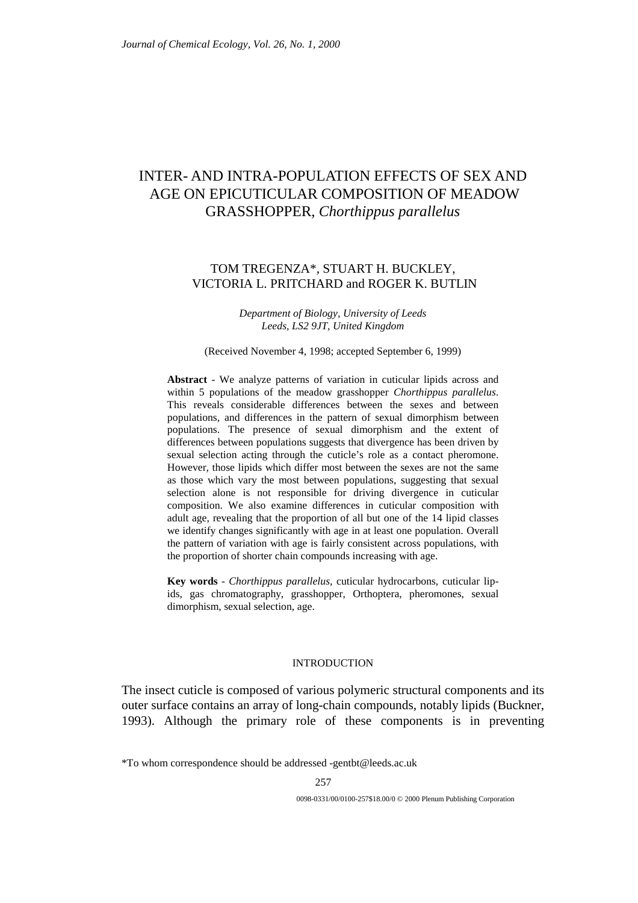# INTER- AND INTRA-POPULATION EFFECTS OF SEX AND AGE ON EPICUTICULAR COMPOSITION OF MEADOW GRASSHOPPER, *Chorthippus parallelus*

## TOM TREGENZA\*, STUART H. BUCKLEY, VICTORIA L. PRITCHARD and ROGER K. BUTLIN

### *Department of Biology, University of Leeds Leeds, LS2 9JT, United Kingdom*

#### (Received November 4, 1998; accepted September 6, 1999)

**Abstract** - We analyze patterns of variation in cuticular lipids across and within 5 populations of the meadow grasshopper *Chorthippus parallelus*. This reveals considerable differences between the sexes and between populations, and differences in the pattern of sexual dimorphism between populations. The presence of sexual dimorphism and the extent of differences between populations suggests that divergence has been driven by sexual selection acting through the cuticle's role as a contact pheromone. However, those lipids which differ most between the sexes are not the same as those which vary the most between populations, suggesting that sexual selection alone is not responsible for driving divergence in cuticular composition. We also examine differences in cuticular composition with adult age, revealing that the proportion of all but one of the 14 lipid classes we identify changes significantly with age in at least one population. Overall the pattern of variation with age is fairly consistent across populations, with the proportion of shorter chain compounds increasing with age.

**Key words** - *Chorthippus parallelus,* cuticular hydrocarbons, cuticular lipids, gas chromatography, grasshopper, Orthoptera, pheromones, sexual dimorphism, sexual selection, age.

## INTRODUCTION

The insect cuticle is composed of various polymeric structural components and its outer surface contains an array of long-chain compounds, notably lipids (Buckner, 1993). Although the primary role of these components is in preventing

\*To whom correspondence should be addressed -gentbt@leeds.ac.uk

257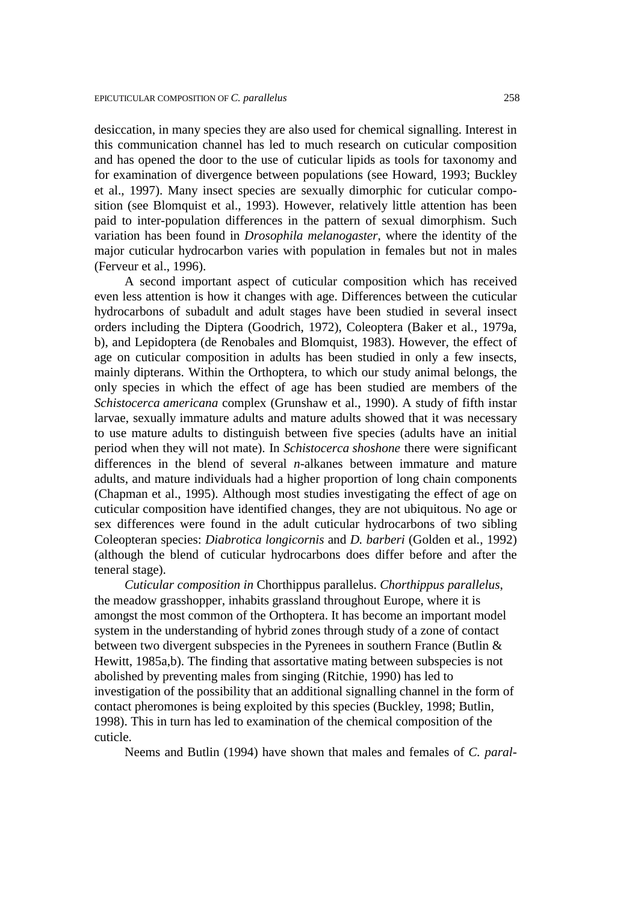desiccation, in many species they are also used for chemical signalling. Interest in this communication channel has led to much research on cuticular composition and has opened the door to the use of cuticular lipids as tools for taxonomy and for examination of divergence between populations (see Howard, 1993; Buckley et al., 1997). Many insect species are sexually dimorphic for cuticular composition (see Blomquist et al., 1993). However, relatively little attention has been paid to inter-population differences in the pattern of sexual dimorphism. Such variation has been found in *Drosophila melanogaster*, where the identity of the major cuticular hydrocarbon varies with population in females but not in males (Ferveur et al., 1996).

A second important aspect of cuticular composition which has received even less attention is how it changes with age. Differences between the cuticular hydrocarbons of subadult and adult stages have been studied in several insect orders including the Diptera (Goodrich, 1972), Coleoptera (Baker et al*.*, 1979a, b), and Lepidoptera (de Renobales and Blomquist, 1983). However, the effect of age on cuticular composition in adults has been studied in only a few insects, mainly dipterans. Within the Orthoptera, to which our study animal belongs, the only species in which the effect of age has been studied are members of the *Schistocerca americana* complex (Grunshaw et al., 1990). A study of fifth instar larvae, sexually immature adults and mature adults showed that it was necessary to use mature adults to distinguish between five species (adults have an initial period when they will not mate). In *Schistocerca shoshone* there were significant differences in the blend of several *n*-alkanes between immature and mature adults, and mature individuals had a higher proportion of long chain components (Chapman et al., 1995). Although most studies investigating the effect of age on cuticular composition have identified changes, they are not ubiquitous. No age or sex differences were found in the adult cuticular hydrocarbons of two sibling Coleopteran species: *Diabrotica longicornis* and *D. barberi* (Golden et al*.*, 1992) (although the blend of cuticular hydrocarbons does differ before and after the teneral stage).

*Cuticular composition in* Chorthippus parallelus. *Chorthippus parallelus*, the meadow grasshopper, inhabits grassland throughout Europe, where it is amongst the most common of the Orthoptera. It has become an important model system in the understanding of hybrid zones through study of a zone of contact between two divergent subspecies in the Pyrenees in southern France (Butlin & Hewitt, 1985a,b). The finding that assortative mating between subspecies is not abolished by preventing males from singing (Ritchie, 1990) has led to investigation of the possibility that an additional signalling channel in the form of contact pheromones is being exploited by this species (Buckley, 1998; Butlin, 1998). This in turn has led to examination of the chemical composition of the cuticle.

Neems and Butlin (1994) have shown that males and females of *C. paral-*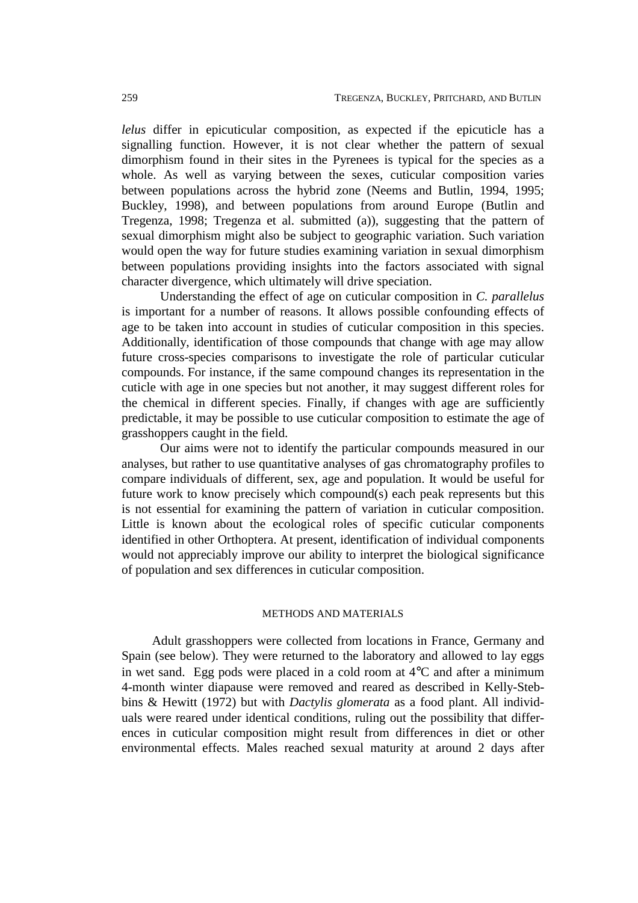*lelus* differ in epicuticular composition, as expected if the epicuticle has a signalling function. However, it is not clear whether the pattern of sexual dimorphism found in their sites in the Pyrenees is typical for the species as a whole. As well as varying between the sexes, cuticular composition varies between populations across the hybrid zone (Neems and Butlin, 1994, 1995; Buckley, 1998), and between populations from around Europe (Butlin and Tregenza, 1998; Tregenza et al. submitted (a)), suggesting that the pattern of sexual dimorphism might also be subject to geographic variation. Such variation would open the way for future studies examining variation in sexual dimorphism between populations providing insights into the factors associated with signal character divergence, which ultimately will drive speciation.

Understanding the effect of age on cuticular composition in *C. parallelus* is important for a number of reasons. It allows possible confounding effects of age to be taken into account in studies of cuticular composition in this species. Additionally, identification of those compounds that change with age may allow future cross-species comparisons to investigate the role of particular cuticular compounds. For instance, if the same compound changes its representation in the cuticle with age in one species but not another, it may suggest different roles for the chemical in different species. Finally, if changes with age are sufficiently predictable, it may be possible to use cuticular composition to estimate the age of grasshoppers caught in the field.

Our aims were not to identify the particular compounds measured in our analyses, but rather to use quantitative analyses of gas chromatography profiles to compare individuals of different, sex, age and population. It would be useful for future work to know precisely which compound(s) each peak represents but this is not essential for examining the pattern of variation in cuticular composition. Little is known about the ecological roles of specific cuticular components identified in other Orthoptera. At present, identification of individual components would not appreciably improve our ability to interpret the biological significance of population and sex differences in cuticular composition.

#### METHODS AND MATERIALS

Adult grasshoppers were collected from locations in France, Germany and Spain (see below). They were returned to the laboratory and allowed to lay eggs in wet sand. Egg pods were placed in a cold room at  $4^{\circ}$ C and after a minimum 4-month winter diapause were removed and reared as described in Kelly-Stebbins & Hewitt (1972) but with *Dactylis glomerata* as a food plant. All individuals were reared under identical conditions, ruling out the possibility that differences in cuticular composition might result from differences in diet or other environmental effects. Males reached sexual maturity at around 2 days after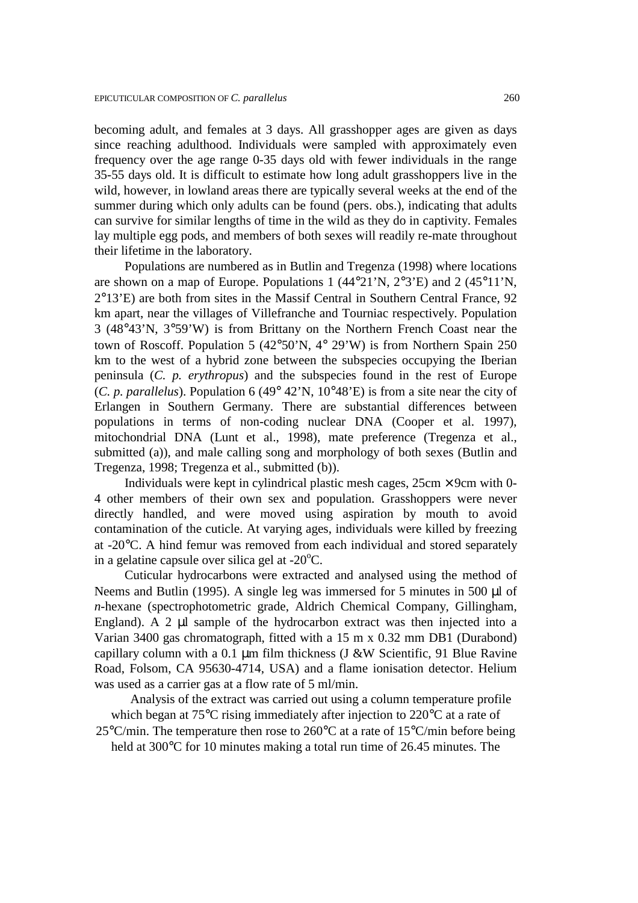becoming adult, and females at 3 days. All grasshopper ages are given as days since reaching adulthood. Individuals were sampled with approximately even frequency over the age range 0-35 days old with fewer individuals in the range 35-55 days old. It is difficult to estimate how long adult grasshoppers live in the wild, however, in lowland areas there are typically several weeks at the end of the summer during which only adults can be found (pers. obs.), indicating that adults can survive for similar lengths of time in the wild as they do in captivity. Females lay multiple egg pods, and members of both sexes will readily re-mate throughout their lifetime in the laboratory.

Populations are numbered as in Butlin and Tregenza (1998) where locations are shown on a map of Europe. Populations 1 (44°21'N, 2°3'E) and 2 (45°11'N, 2°13'E) are both from sites in the Massif Central in Southern Central France, 92 km apart, near the villages of Villefranche and Tourniac respectively. Population 3 (48°43'N, 3°59'W) is from Brittany on the Northern French Coast near the town of Roscoff. Population 5 (42°50'N, 4° 29'W) is from Northern Spain 250 km to the west of a hybrid zone between the subspecies occupying the Iberian peninsula (*C. p. erythropus*) and the subspecies found in the rest of Europe (*C. p. parallelus*). Population 6 (49° 42'N, 10°48'E) is from a site near the city of Erlangen in Southern Germany. There are substantial differences between populations in terms of non-coding nuclear DNA (Cooper et al. 1997), mitochondrial DNA (Lunt et al., 1998), mate preference (Tregenza et al., submitted (a)), and male calling song and morphology of both sexes (Butlin and Tregenza, 1998; Tregenza et al., submitted (b)).

Individuals were kept in cylindrical plastic mesh cages,  $25 \text{cm} \times 9 \text{cm}$  with 0-4 other members of their own sex and population. Grasshoppers were never directly handled, and were moved using aspiration by mouth to avoid contamination of the cuticle. At varying ages, individuals were killed by freezing at -20°C. A hind femur was removed from each individual and stored separately in a gelatine capsule over silica gel at  $-20^{\circ}$ C.

Cuticular hydrocarbons were extracted and analysed using the method of Neems and Butlin (1995). A single leg was immersed for 5 minutes in 500 µl of *n-*hexane (spectrophotometric grade, Aldrich Chemical Company, Gillingham, England). A 2 µl sample of the hydrocarbon extract was then injected into a Varian 3400 gas chromatograph, fitted with a 15 m x 0.32 mm DB1 (Durabond) capillary column with a 0.1 µm film thickness (J &W Scientific, 91 Blue Ravine Road, Folsom, CA 95630-4714, USA) and a flame ionisation detector. Helium was used as a carrier gas at a flow rate of 5 ml/min.

Analysis of the extract was carried out using a column temperature profile which began at 75°C rising immediately after injection to 220°C at a rate of 25°C/min. The temperature then rose to 260°C at a rate of 15°C/min before being held at 300<sup>o</sup>C for 10 minutes making a total run time of 26.45 minutes. The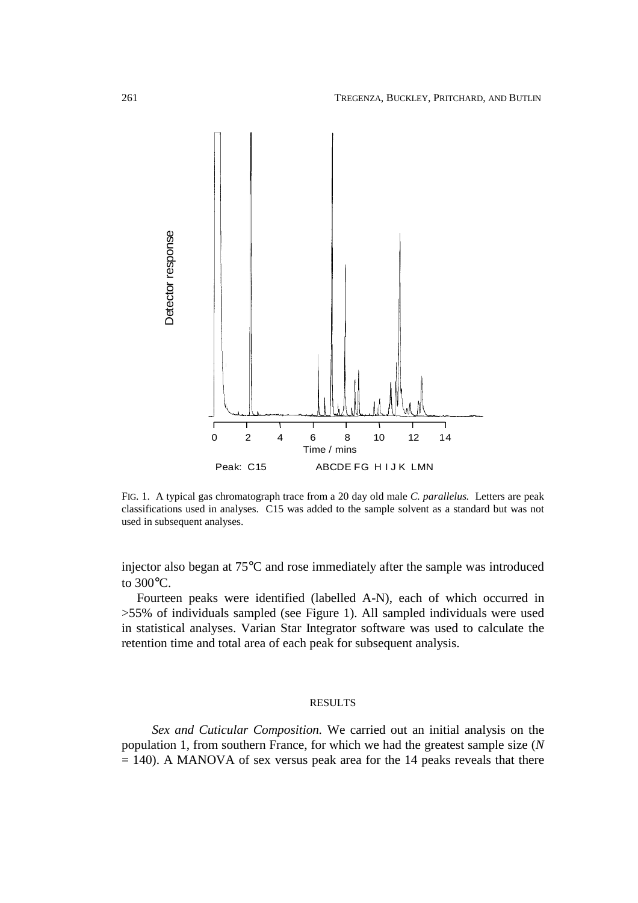

FIG. 1. A typical gas chromatograph trace from a 20 day old male *C. parallelus.* Letters are peak classifications used in analyses. C15 was added to the sample solvent as a standard but was not used in subsequent analyses.

injector also began at 75°C and rose immediately after the sample was introduced to 300°C.

Fourteen peaks were identified (labelled A-N), each of which occurred in >55% of individuals sampled (see Figure 1). All sampled individuals were used in statistical analyses. Varian Star Integrator software was used to calculate the retention time and total area of each peak for subsequent analysis.

## RESULTS

*Sex and Cuticular Composition.* We carried out an initial analysis on the population 1, from southern France, for which we had the greatest sample size (*N*  $= 140$ ). A MANOVA of sex versus peak area for the 14 peaks reveals that there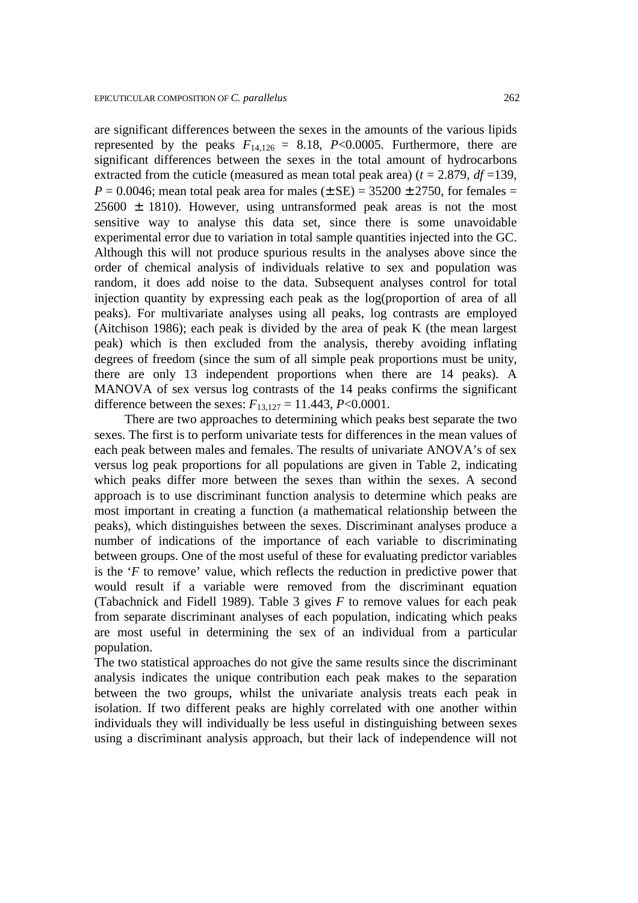are significant differences between the sexes in the amounts of the various lipids represented by the peaks  $F_{14,126} = 8.18$ , *P*<0.0005. Furthermore, there are significant differences between the sexes in the total amount of hydrocarbons extracted from the cuticle (measured as mean total peak area)  $(t = 2.879, df = 139,$  $P = 0.0046$ ; mean total peak area for males ( $\pm$  SE) = 35200  $\pm$  2750, for females =  $25600 \pm 1810$ . However, using untransformed peak areas is not the most sensitive way to analyse this data set, since there is some unavoidable experimental error due to variation in total sample quantities injected into the GC. Although this will not produce spurious results in the analyses above since the order of chemical analysis of individuals relative to sex and population was random, it does add noise to the data. Subsequent analyses control for total injection quantity by expressing each peak as the log(proportion of area of all peaks). For multivariate analyses using all peaks, log contrasts are employed (Aitchison 1986); each peak is divided by the area of peak K (the mean largest peak) which is then excluded from the analysis, thereby avoiding inflating degrees of freedom (since the sum of all simple peak proportions must be unity, there are only 13 independent proportions when there are 14 peaks). A MANOVA of sex versus log contrasts of the 14 peaks confirms the significant difference between the sexes:  $F_{13,127} = 11.443$ ,  $P < 0.0001$ .

There are two approaches to determining which peaks best separate the two sexes. The first is to perform univariate tests for differences in the mean values of each peak between males and females. The results of univariate ANOVA's of sex versus log peak proportions for all populations are given in Table 2, indicating which peaks differ more between the sexes than within the sexes. A second approach is to use discriminant function analysis to determine which peaks are most important in creating a function (a mathematical relationship between the peaks), which distinguishes between the sexes. Discriminant analyses produce a number of indications of the importance of each variable to discriminating between groups. One of the most useful of these for evaluating predictor variables is the '*F* to remove' value, which reflects the reduction in predictive power that would result if a variable were removed from the discriminant equation (Tabachnick and Fidell 1989). Table 3 gives *F* to remove values for each peak from separate discriminant analyses of each population, indicating which peaks are most useful in determining the sex of an individual from a particular population.

The two statistical approaches do not give the same results since the discriminant analysis indicates the unique contribution each peak makes to the separation between the two groups, whilst the univariate analysis treats each peak in isolation. If two different peaks are highly correlated with one another within individuals they will individually be less useful in distinguishing between sexes using a discriminant analysis approach, but their lack of independence will not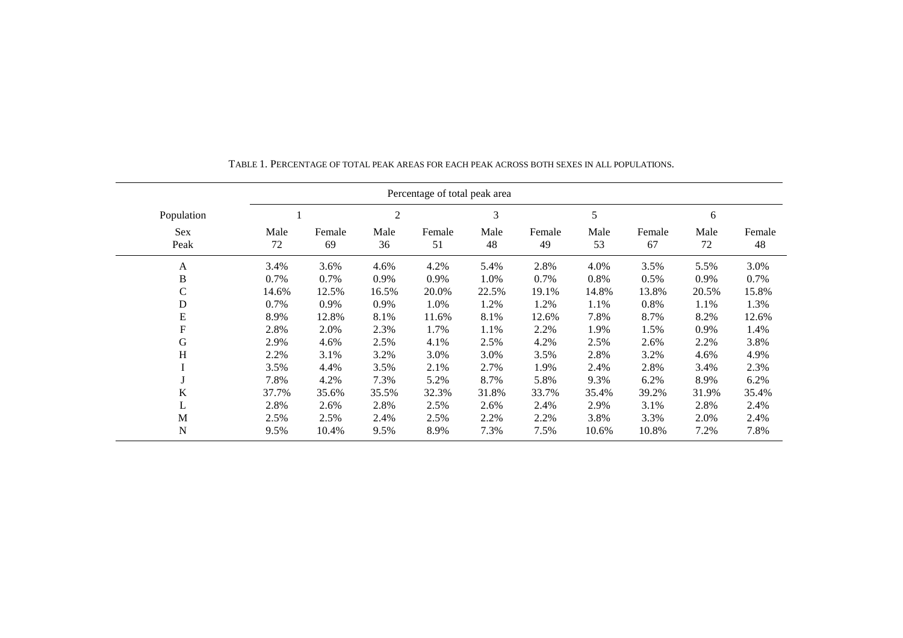|              | Percentage of total peak area |              |              |              |            |              |            |              |            |              |
|--------------|-------------------------------|--------------|--------------|--------------|------------|--------------|------------|--------------|------------|--------------|
| Population   |                               |              | $\mathbf{2}$ |              | 3          |              | 5          |              | 6          |              |
| Sex<br>Peak  | Male<br>72                    | Female<br>69 | Male<br>36   | Female<br>51 | Male<br>48 | Female<br>49 | Male<br>53 | Female<br>67 | Male<br>72 | Female<br>48 |
| A            | 3.4%                          | 3.6%         | 4.6%         | 4.2%         | 5.4%       | 2.8%         | 4.0%       | 3.5%         | 5.5%       | 3.0%         |
| $\, {\bf B}$ | 0.7%                          | 0.7%         | 0.9%         | 0.9%         | 1.0%       | 0.7%         | 0.8%       | 0.5%         | 0.9%       | 0.7%         |
| C            | 14.6%                         | 12.5%        | 16.5%        | 20.0%        | 22.5%      | 19.1%        | 14.8%      | 13.8%        | 20.5%      | 15.8%        |
| D            | 0.7%                          | 0.9%         | 0.9%         | 1.0%         | 1.2%       | 1.2%         | 1.1%       | 0.8%         | 1.1%       | 1.3%         |
| E            | 8.9%                          | 12.8%        | 8.1%         | 11.6%        | 8.1%       | 12.6%        | 7.8%       | 8.7%         | 8.2%       | 12.6%        |
| $\mathbf F$  | 2.8%                          | 2.0%         | 2.3%         | 1.7%         | 1.1%       | 2.2%         | 1.9%       | 1.5%         | 0.9%       | 1.4%         |
| G            | 2.9%                          | 4.6%         | 2.5%         | 4.1%         | 2.5%       | 4.2%         | 2.5%       | 2.6%         | 2.2%       | 3.8%         |
| H            | 2.2%                          | 3.1%         | 3.2%         | 3.0%         | 3.0%       | 3.5%         | 2.8%       | 3.2%         | 4.6%       | 4.9%         |
|              | 3.5%                          | 4.4%         | 3.5%         | 2.1%         | 2.7%       | 1.9%         | 2.4%       | 2.8%         | 3.4%       | 2.3%         |
|              | 7.8%                          | 4.2%         | 7.3%         | 5.2%         | 8.7%       | 5.8%         | 9.3%       | 6.2%         | 8.9%       | 6.2%         |
| K            | 37.7%                         | 35.6%        | 35.5%        | 32.3%        | 31.8%      | 33.7%        | 35.4%      | 39.2%        | 31.9%      | 35.4%        |
| L            | 2.8%                          | 2.6%         | 2.8%         | 2.5%         | 2.6%       | 2.4%         | 2.9%       | 3.1%         | 2.8%       | 2.4%         |
| M            | 2.5%                          | 2.5%         | 2.4%         | 2.5%         | 2.2%       | 2.2%         | 3.8%       | 3.3%         | 2.0%       | 2.4%         |
| N            | 9.5%                          | 10.4%        | 9.5%         | 8.9%         | 7.3%       | 7.5%         | 10.6%      | 10.8%        | 7.2%       | 7.8%         |

TABLE 1. PERCENTAGE OF TOTAL PEAK AREAS FOR EACH PEAK ACROSS BOTH SEXES IN ALL POPULATIONS.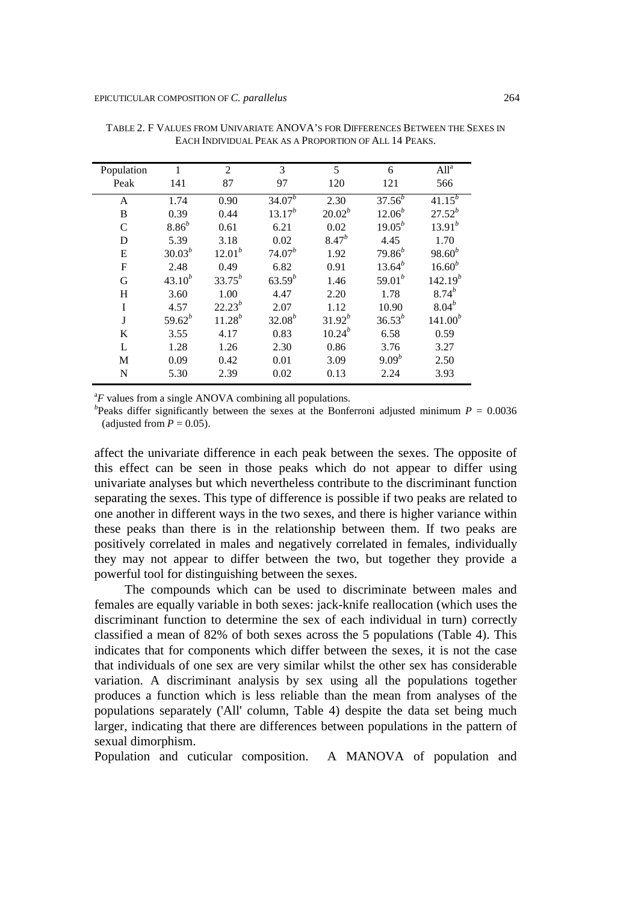| Population   |             | 2           | 3           | 5           | 6           | All <sup>a</sup> |
|--------------|-------------|-------------|-------------|-------------|-------------|------------------|
| Peak         | 141         | 87          | 97          | 120         | 121         | 566              |
| A            | 1.74        | 0.90        | $34.07^{b}$ | 2.30        | $37.56^{b}$ | $41.15^{b}$      |
| B            | 0.39        | 0.44        | $13.17^{b}$ | $20.02^{b}$ | $12.06^{b}$ | $27.52^{b}$      |
| $\mathsf{C}$ | $8.86^b$    | 0.61        | 6.21        | 0.02        | $19.05^{b}$ | $13.91^{b}$      |
| D            | 5.39        | 3.18        | 0.02        | $8.47^{b}$  | 4.45        | 1.70             |
| ${\bf E}$    | $30.03^{b}$ | $12.01^{b}$ | $74.07^{b}$ | 1.92        | $79.86^{b}$ | $98.60^{b}$      |
| $\mathbf F$  | 2.48        | 0.49        | 6.82        | 0.91        | $13.64^{b}$ | $16.60^{b}$      |
| G            | $43.10^{b}$ | $33.75^{b}$ | $63.59^{b}$ | 1.46        | $59.01^{b}$ | $142.19^{b}$     |
| $H_{\rm}$    | 3.60        | 1.00        | 4.47        | 2.20        | 1.78        | $8.74^{b}$       |
| I            | 4.57        | $22.23^{b}$ | 2.07        | 1.12        | 10.90       | $8.04^{b}$       |
| J            | $59.62^{b}$ | $11.28^{b}$ | $32.08^{b}$ | $31.92^{b}$ | $36.53^{b}$ | $141.00^{b}$     |
| K            | 3.55        | 4.17        | 0.83        | $10.24^{b}$ | 6.58        | 0.59             |
| L            | 1.28        | 1.26        | 2.30        | 0.86        | 3.76        | 3.27             |
| M            | 0.09        | 0.42        | 0.01        | 3.09        | $9.09^{b}$  | 2.50             |
| $\mathbf N$  | 5.30        | 2.39        | 0.02        | 0.13        | 2.24        | 3.93             |

TABLE 2. F VALUES FROM UNIVARIATE ANOVA'S FOR DIFFERENCES BETWEEN THE SEXES IN EACH INDIVIDUAL PEAK AS A PROPORTION OF ALL 14 PEAKS.

 ${}^{a}F$  values from a single ANOVA combining all populations.

<sup>*b*</sup> Peaks differ significantly between the sexes at the Bonferroni adjusted minimum  $P = 0.0036$ (adjusted from  $P = 0.05$ ).

affect the univariate difference in each peak between the sexes. The opposite of this effect can be seen in those peaks which do not appear to differ using univariate analyses but which nevertheless contribute to the discriminant function separating the sexes. This type of difference is possible if two peaks are related to one another in different ways in the two sexes, and there is higher variance within these peaks than there is in the relationship between them. If two peaks are positively correlated in males and negatively correlated in females, individually they may not appear to differ between the two, but together they provide a powerful tool for distinguishing between the sexes.

The compounds which can be used to discriminate between males and females are equally variable in both sexes: jack-knife reallocation (which uses the discriminant function to determine the sex of each individual in turn) correctly classified a mean of 82% of both sexes across the 5 populations (Table 4). This indicates that for components which differ between the sexes, it is not the case that individuals of one sex are very similar whilst the other sex has considerable variation. A discriminant analysis by sex using all the populations together produces a function which is less reliable than the mean from analyses of the populations separately ('All' column, Table 4) despite the data set being much larger, indicating that there are differences between populations in the pattern of sexual dimorphism.

Population and cuticular composition. A MANOVA of population and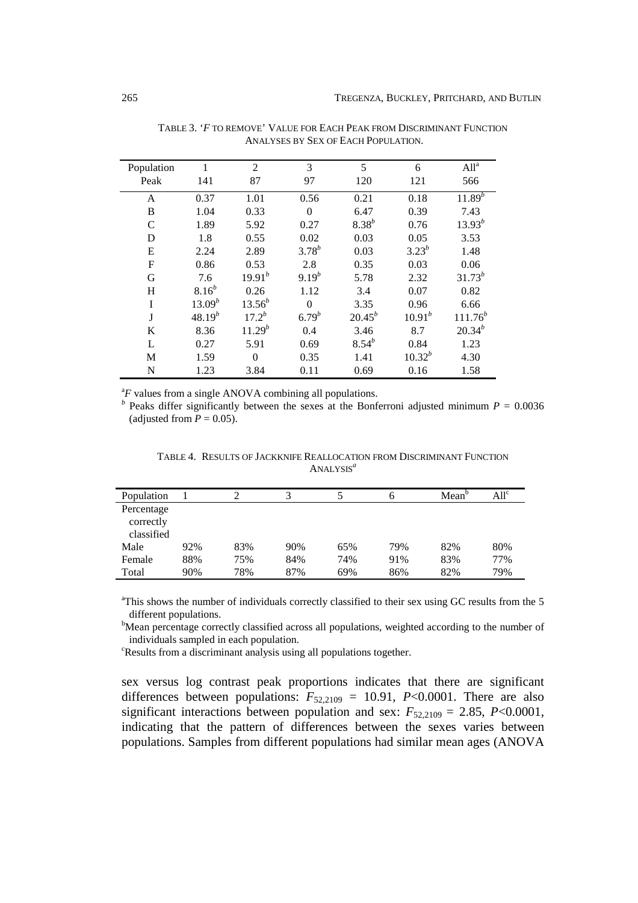| Population    |             | $\overline{2}$ | 3          | 5           | 6           | All <sup>a</sup> |
|---------------|-------------|----------------|------------|-------------|-------------|------------------|
| Peak          | 141         | 87             | 97         | 120         | 121         | 566              |
| A             | 0.37        | 1.01           | 0.56       | 0.21        | 0.18        | $11.89^{b}$      |
| B             | 1.04        | 0.33           | $\theta$   | 6.47        | 0.39        | 7.43             |
| $\mathcal{C}$ | 1.89        | 5.92           | 0.27       | $8.38^{b}$  | 0.76        | $13.93^{b}$      |
| D             | 1.8         | 0.55           | 0.02       | 0.03        | 0.05        | 3.53             |
| E             | 2.24        | 2.89           | $3.78^{b}$ | 0.03        | $3.23^{b}$  | 1.48             |
| F             | 0.86        | 0.53           | 2.8        | 0.35        | 0.03        | 0.06             |
| G             | 7.6         | $19.91^{b}$    | $9.19^{b}$ | 5.78        | 2.32        | $31.73^{b}$      |
| H             | $8.16^{b}$  | 0.26           | 1.12       | 3.4         | 0.07        | 0.82             |
| I             | $13.09^{b}$ | $13.56^{b}$    | $\theta$   | 3.35        | 0.96        | 6.66             |
| $\mathbf{J}$  | $48.19^{b}$ | $17.2^{b}$     | $6.79^{b}$ | $20.45^{b}$ | $10.91^{b}$ | $111.76^{b}$     |
| K             | 8.36        | $11.29^{b}$    | 0.4        | 3.46        | 8.7         | $20.34^{b}$      |
| L             | 0.27        | 5.91           | 0.69       | $8.54^{b}$  | 0.84        | 1.23             |
| M             | 1.59        | $\Omega$       | 0.35       | 1.41        | $10.32^{b}$ | 4.30             |
| N             | 1.23        | 3.84           | 0.11       | 0.69        | 0.16        | 1.58             |

TABLE 3. '*F* TO REMOVE' VALUE FOR EACH PEAK FROM DISCRIMINANT FUNCTION ANALYSES BY SEX OF EACH POPULATION.

<sup>a</sup>F values from a single ANOVA combining all populations.

<sup>*b*</sup> Peaks differ significantly between the sexes at the Bonferroni adjusted minimum  $P = 0.0036$ (adjusted from  $P = 0.05$ ).

| Population |     |     |     |     | O   | Mean <sup>b</sup> | $All^c$ |
|------------|-----|-----|-----|-----|-----|-------------------|---------|
| Percentage |     |     |     |     |     |                   |         |
| correctly  |     |     |     |     |     |                   |         |
| classified |     |     |     |     |     |                   |         |
| Male       | 92% | 83% | 90% | 65% | 79% | 82%               | 80%     |
| Female     | 88% | 75% | 84% | 74% | 91% | 83%               | 77%     |
| Total      | 90% | 78% | 87% | 69% | 86% | 82%               | 79%     |

TABLE 4. RESULTS OF JACKKNIFE REALLOCATION FROM DISCRIMINANT FUNCTION ANALYSIS*<sup>a</sup>*

<sup>a</sup>This shows the number of individuals correctly classified to their sex using GC results from the 5 different populations.

<sup>b</sup>Mean percentage correctly classified across all populations, weighted according to the number of individuals sampled in each population.

c Results from a discriminant analysis using all populations together.

sex versus log contrast peak proportions indicates that there are significant differences between populations:  $F_{52,2109} = 10.91$ ,  $P < 0.0001$ . There are also significant interactions between population and sex:  $F_{52,2109} = 2.85$ ,  $P < 0.0001$ , indicating that the pattern of differences between the sexes varies between populations. Samples from different populations had similar mean ages (ANOVA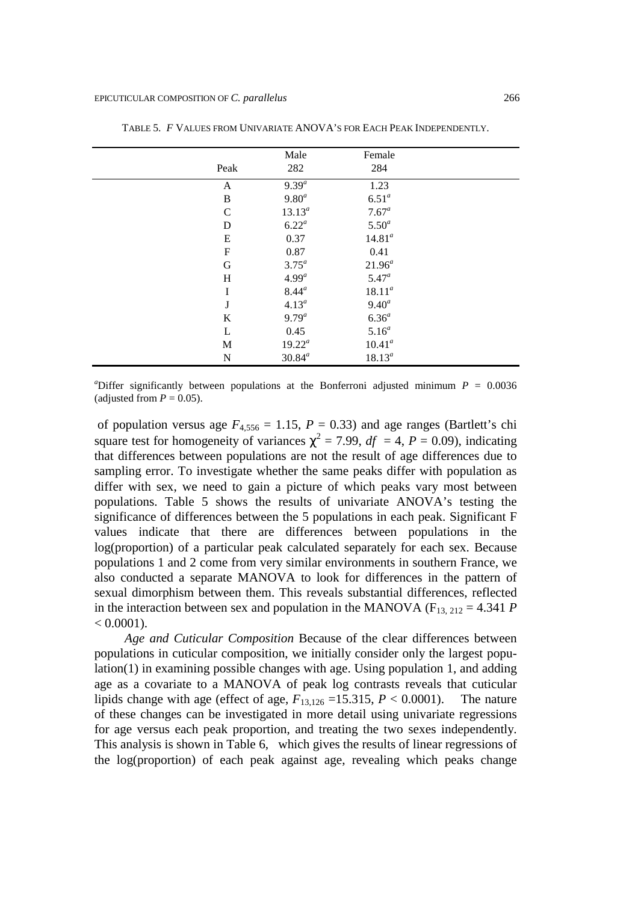|               | Male           | Female      |  |
|---------------|----------------|-------------|--|
| Peak          | 282            | 284         |  |
|               |                |             |  |
| A             | $9.39^{a}$     | 1.23        |  |
| B             | $9.80^a$       | $6.51^a$    |  |
| $\mathcal{C}$ | $13.13^{a}$    | $7.67^a$    |  |
| D             | $6.22^a$       | $5.50^a$    |  |
| ${\bf E}$     | 0.37           | $14.81^{a}$ |  |
| ${\bf F}$     | 0.87           | 0.41        |  |
| $\mathbf G$   | $3.75^a$       | $21.96^{a}$ |  |
| H             | $4.99^a$       | $5.47^a$    |  |
| I             | $8.44^{\circ}$ | $18.11^a$   |  |
| J             | $4.13^{a}$     | $9.40^a$    |  |
| $\bf K$       | $9.79^{a}$     | $6.36^{a}$  |  |
| L             | 0.45           | $5.16^{a}$  |  |
| M             | $19.22^a$      | $10.41^a$   |  |
| ${\bf N}$     | $30.84^a$      | $18.13^{a}$ |  |

TABLE 5. *F* VALUES FROM UNIVARIATE ANOVA'S FOR EACH PEAK INDEPENDENTLY.

<sup>a</sup>Differ significantly between populations at the Bonferroni adjusted minimum  $P = 0.0036$ (adjusted from  $P = 0.05$ ).

of population versus age  $F_{4,556} = 1.15$ ,  $P = 0.33$ ) and age ranges (Bartlett's chi square test for homogeneity of variances  $\chi^2 = 7.99$ ,  $df = 4$ ,  $P = 0.09$ ), indicating that differences between populations are not the result of age differences due to sampling error. To investigate whether the same peaks differ with population as differ with sex, we need to gain a picture of which peaks vary most between populations. Table 5 shows the results of univariate ANOVA's testing the significance of differences between the 5 populations in each peak. Significant F values indicate that there are differences between populations in the log(proportion) of a particular peak calculated separately for each sex. Because populations 1 and 2 come from very similar environments in southern France, we also conducted a separate MANOVA to look for differences in the pattern of sexual dimorphism between them. This reveals substantial differences, reflected in the interaction between sex and population in the MANOVA  $(F_{13, 212} = 4.341$  *P*  $< 0.0001$ ).

*Age and Cuticular Composition* Because of the clear differences between populations in cuticular composition, we initially consider only the largest population(1) in examining possible changes with age. Using population 1, and adding age as a covariate to a MANOVA of peak log contrasts reveals that cuticular lipids change with age (effect of age,  $F_{13,126} = 15.315$ ,  $P < 0.0001$ ). The nature of these changes can be investigated in more detail using univariate regressions for age versus each peak proportion, and treating the two sexes independently. This analysis is shown in Table 6, which gives the results of linear regressions of the log(proportion) of each peak against age, revealing which peaks change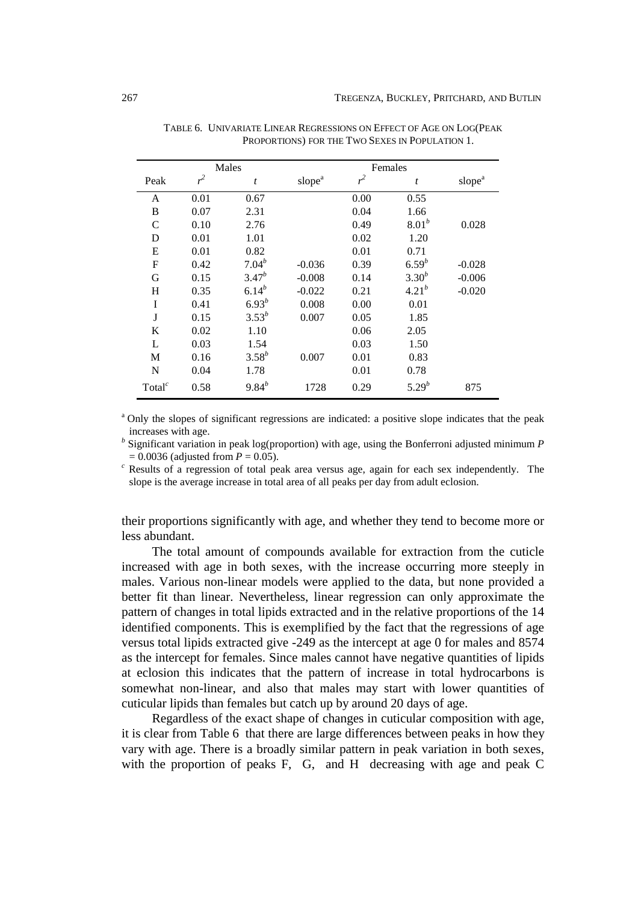| Males              |       |                  |                    | Females        |                   |                    |  |
|--------------------|-------|------------------|--------------------|----------------|-------------------|--------------------|--|
| Peak               | $r^2$ | $\boldsymbol{t}$ | slope <sup>a</sup> | r <sup>2</sup> | t                 | slope <sup>a</sup> |  |
| A                  | 0.01  | 0.67             |                    | 0.00           | 0.55              |                    |  |
| B                  | 0.07  | 2.31             |                    | 0.04           | 1.66              |                    |  |
| $\mathcal{C}$      | 0.10  | 2.76             |                    | 0.49           | 8.01 <sup>b</sup> | 0.028              |  |
| D                  | 0.01  | 1.01             |                    | 0.02           | 1.20              |                    |  |
| E                  | 0.01  | 0.82             |                    | 0.01           | 0.71              |                    |  |
| $\mathbf F$        | 0.42  | $7.04^{b}$       | $-0.036$           | 0.39           | $6.59^{b}$        | $-0.028$           |  |
| G                  | 0.15  | $3.47^{b}$       | $-0.008$           | 0.14           | $3.30^{b}$        | $-0.006$           |  |
| H                  | 0.35  | $6.14^{b}$       | $-0.022$           | 0.21           | $4.21^{b}$        | $-0.020$           |  |
| I                  | 0.41  | $6.93^{b}$       | 0.008              | 0.00           | 0.01              |                    |  |
| J                  | 0.15  | $3.53^{b}$       | 0.007              | 0.05           | 1.85              |                    |  |
| K                  | 0.02  | 1.10             |                    | 0.06           | 2.05              |                    |  |
| L                  | 0.03  | 1.54             |                    | 0.03           | 1.50              |                    |  |
| M                  | 0.16  | $3.58^{b}$       | 0.007              | 0.01           | 0.83              |                    |  |
| N                  | 0.04  | 1.78             |                    | 0.01           | 0.78              |                    |  |
| Total <sup>c</sup> | 0.58  | $9.84^{b}$       | 1728               | 0.29           | $5.29^{b}$        | 875                |  |

TABLE 6. UNIVARIATE LINEAR REGRESSIONS ON EFFECT OF AGE ON LOG(PEAK PROPORTIONS) FOR THE TWO SEXES IN POPULATION 1.

<sup>a</sup> Only the slopes of significant regressions are indicated: a positive slope indicates that the peak increases with age.

*b* Significant variation in peak log(proportion) with age, using the Bonferroni adjusted minimum *P*  $= 0.0036$  (adjusted from *P* = 0.05).

*c* Results of a regression of total peak area versus age, again for each sex independently. The slope is the average increase in total area of all peaks per day from adult eclosion.

their proportions significantly with age, and whether they tend to become more or less abundant.

The total amount of compounds available for extraction from the cuticle increased with age in both sexes, with the increase occurring more steeply in males. Various non-linear models were applied to the data, but none provided a better fit than linear. Nevertheless, linear regression can only approximate the pattern of changes in total lipids extracted and in the relative proportions of the 14 identified components. This is exemplified by the fact that the regressions of age versus total lipids extracted give -249 as the intercept at age 0 for males and 8574 as the intercept for females. Since males cannot have negative quantities of lipids at eclosion this indicates that the pattern of increase in total hydrocarbons is somewhat non-linear, and also that males may start with lower quantities of cuticular lipids than females but catch up by around 20 days of age.

Regardless of the exact shape of changes in cuticular composition with age, it is clear from Table 6 that there are large differences between peaks in how they vary with age. There is a broadly similar pattern in peak variation in both sexes, with the proportion of peaks F, G, and H decreasing with age and peak C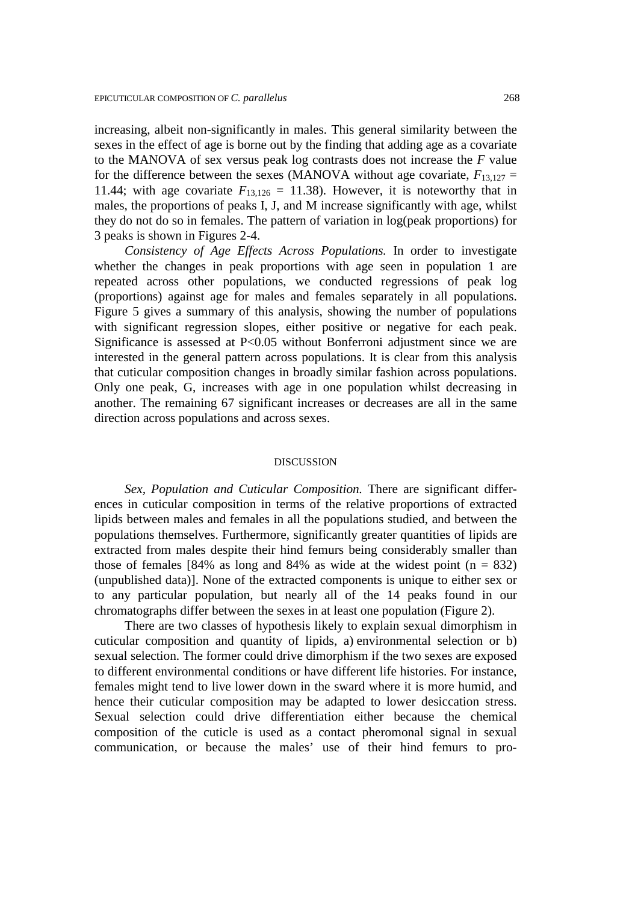increasing, albeit non-significantly in males. This general similarity between the sexes in the effect of age is borne out by the finding that adding age as a covariate to the MANOVA of sex versus peak log contrasts does not increase the *F* value for the difference between the sexes (MANOVA without age covariate,  $F_{13,127}$  = 11.44; with age covariate  $F_{13,126} = 11.38$ ). However, it is noteworthy that in males, the proportions of peaks I, J, and M increase significantly with age, whilst they do not do so in females. The pattern of variation in log(peak proportions) for 3 peaks is shown in Figures 2-4.

*Consistency of Age Effects Across Populations.* In order to investigate whether the changes in peak proportions with age seen in population 1 are repeated across other populations, we conducted regressions of peak log (proportions) against age for males and females separately in all populations. Figure 5 gives a summary of this analysis, showing the number of populations with significant regression slopes, either positive or negative for each peak. Significance is assessed at  $P < 0.05$  without Bonferroni adjustment since we are interested in the general pattern across populations. It is clear from this analysis that cuticular composition changes in broadly similar fashion across populations. Only one peak, G, increases with age in one population whilst decreasing in another. The remaining 67 significant increases or decreases are all in the same direction across populations and across sexes.

#### DISCUSSION

*Sex, Population and Cuticular Composition.* There are significant differences in cuticular composition in terms of the relative proportions of extracted lipids between males and females in all the populations studied, and between the populations themselves. Furthermore, significantly greater quantities of lipids are extracted from males despite their hind femurs being considerably smaller than those of females [84% as long and 84% as wide at the widest point  $(n = 832)$ ] (unpublished data)]. None of the extracted components is unique to either sex or to any particular population, but nearly all of the 14 peaks found in our chromatographs differ between the sexes in at least one population (Figure 2).

There are two classes of hypothesis likely to explain sexual dimorphism in cuticular composition and quantity of lipids, a) environmental selection or b) sexual selection. The former could drive dimorphism if the two sexes are exposed to different environmental conditions or have different life histories. For instance, females might tend to live lower down in the sward where it is more humid, and hence their cuticular composition may be adapted to lower desiccation stress. Sexual selection could drive differentiation either because the chemical composition of the cuticle is used as a contact pheromonal signal in sexual communication, or because the males' use of their hind femurs to pro-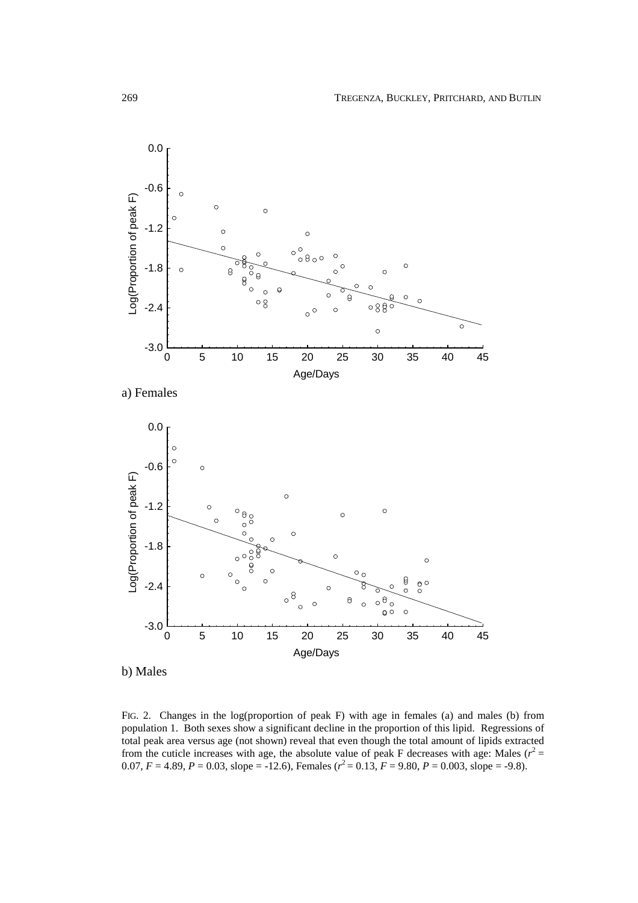

b) Males

FIG. 2. Changes in the log(proportion of peak F) with age in females (a) and males (b) from population 1. Both sexes show a significant decline in the proportion of this lipid. Regressions of total peak area versus age (not shown) reveal that even though the total amount of lipids extracted from the cuticle increases with age, the absolute value of peak F decreases with age: Males  $(r^2 =$ 0.07,  $F = 4.89$ ,  $P = 0.03$ , slope = -12.6), Females ( $r^2 = 0.13$ ,  $F = 9.80$ ,  $P = 0.003$ , slope = -9.8).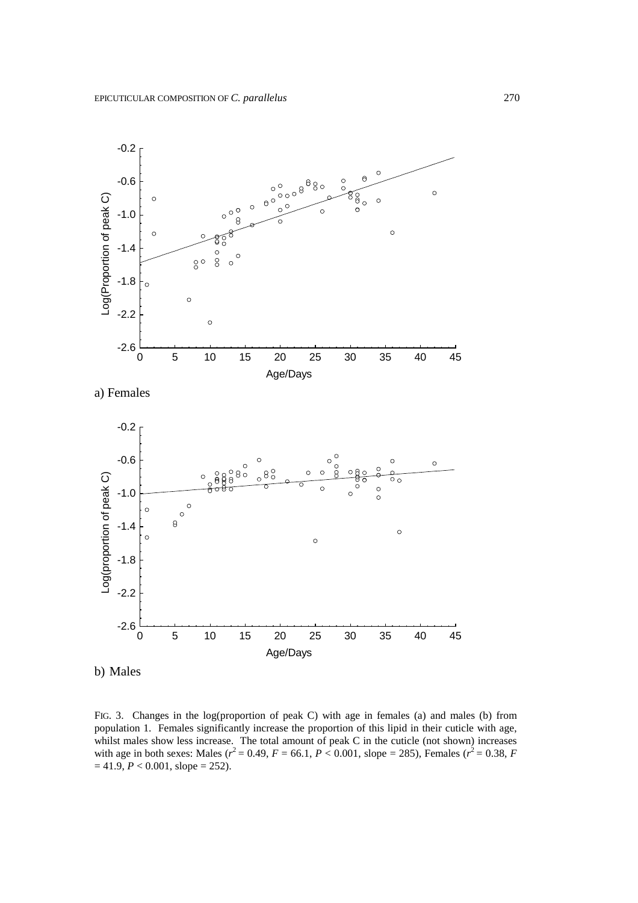



FIG. 3. Changes in the log(proportion of peak C) with age in females (a) and males (b) from population 1. Females significantly increase the proportion of this lipid in their cuticle with age, whilst males show less increase. The total amount of peak C in the cuticle (not shown) increases with age in both sexes: Males ( $r^2 = 0.49$ ,  $F = 66.1$ ,  $P < 0.001$ , slope = 285), Females ( $r^2 = 0.38$ , F  $= 41.9, P < 0.001,$  slope  $= 252$ ).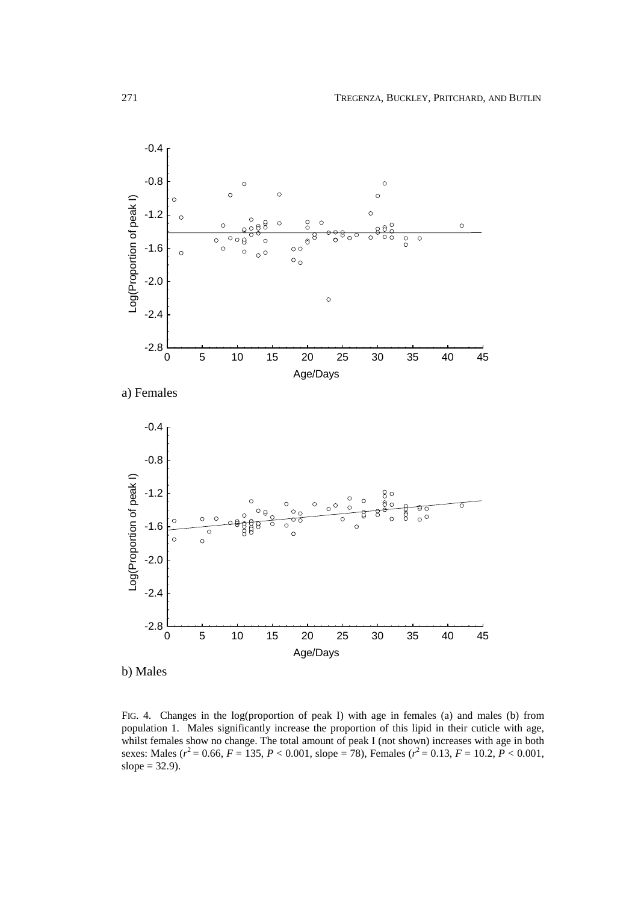



FIG. 4. Changes in the log(proportion of peak I) with age in females (a) and males (b) from population 1. Males significantly increase the proportion of this lipid in their cuticle with age, whilst females show no change. The total amount of peak I (not shown) increases with age in both sexes: Males ( $r^2 = 0.66$ ,  $F = 135$ ,  $P < 0.001$ , slope = 78), Females ( $r^2 = 0.13$ ,  $F = 10.2$ ,  $P < 0.001$ , slope  $= 32.9$ ).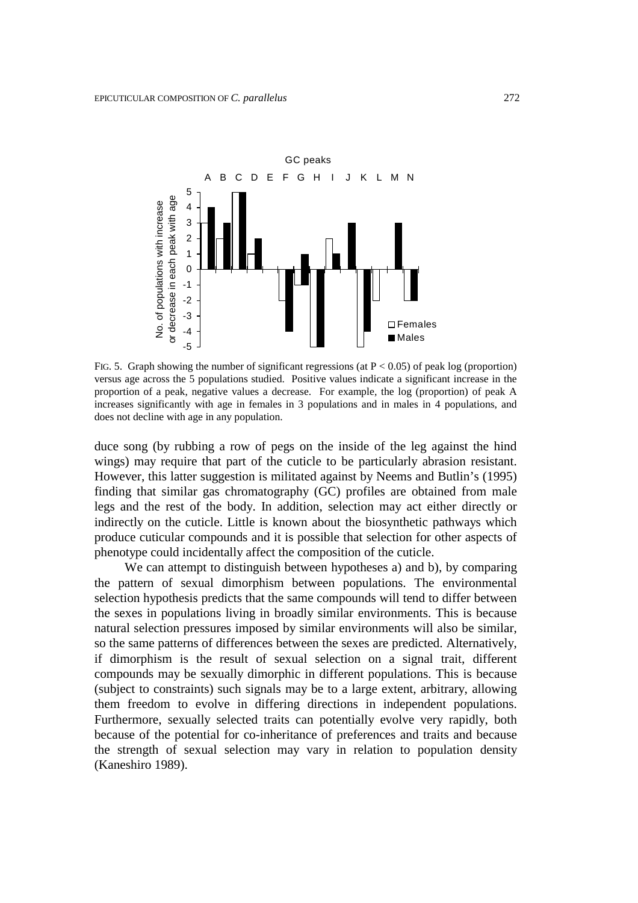

FIG. 5. Graph showing the number of significant regressions (at  $P < 0.05$ ) of peak log (proportion) versus age across the 5 populations studied. Positive values indicate a significant increase in the proportion of a peak, negative values a decrease. For example, the log (proportion) of peak A increases significantly with age in females in 3 populations and in males in 4 populations, and does not decline with age in any population.

duce song (by rubbing a row of pegs on the inside of the leg against the hind wings) may require that part of the cuticle to be particularly abrasion resistant. However, this latter suggestion is militated against by Neems and Butlin's (1995) finding that similar gas chromatography (GC) profiles are obtained from male legs and the rest of the body. In addition, selection may act either directly or indirectly on the cuticle. Little is known about the biosynthetic pathways which produce cuticular compounds and it is possible that selection for other aspects of phenotype could incidentally affect the composition of the cuticle.

We can attempt to distinguish between hypotheses a) and b), by comparing the pattern of sexual dimorphism between populations. The environmental selection hypothesis predicts that the same compounds will tend to differ between the sexes in populations living in broadly similar environments. This is because natural selection pressures imposed by similar environments will also be similar, so the same patterns of differences between the sexes are predicted. Alternatively, if dimorphism is the result of sexual selection on a signal trait, different compounds may be sexually dimorphic in different populations. This is because (subject to constraints) such signals may be to a large extent, arbitrary, allowing them freedom to evolve in differing directions in independent populations. Furthermore, sexually selected traits can potentially evolve very rapidly, both because of the potential for co-inheritance of preferences and traits and because the strength of sexual selection may vary in relation to population density (Kaneshiro 1989).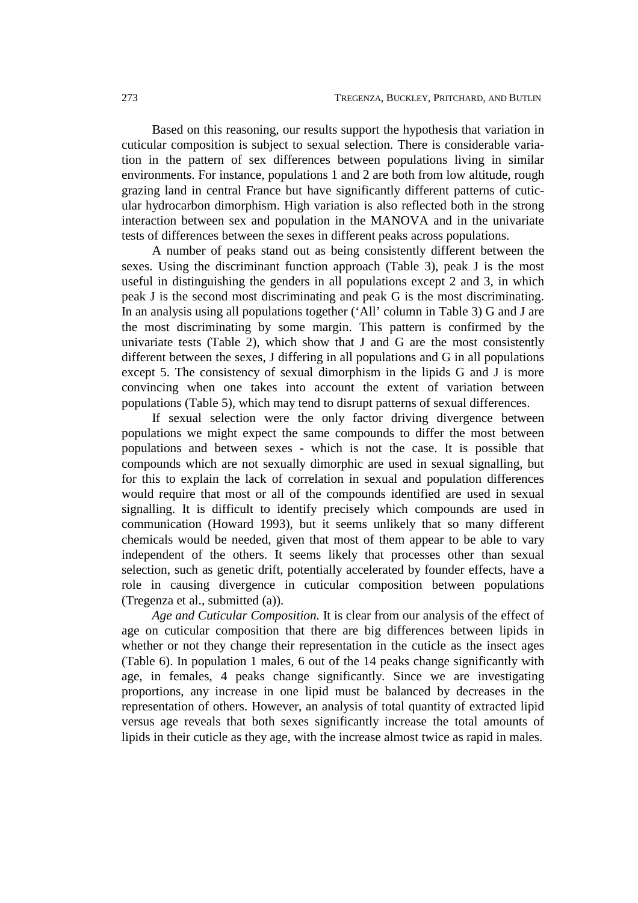Based on this reasoning, our results support the hypothesis that variation in cuticular composition is subject to sexual selection. There is considerable variation in the pattern of sex differences between populations living in similar environments. For instance, populations 1 and 2 are both from low altitude, rough grazing land in central France but have significantly different patterns of cuticular hydrocarbon dimorphism. High variation is also reflected both in the strong interaction between sex and population in the MANOVA and in the univariate tests of differences between the sexes in different peaks across populations.

A number of peaks stand out as being consistently different between the sexes. Using the discriminant function approach (Table 3), peak J is the most useful in distinguishing the genders in all populations except 2 and 3, in which peak J is the second most discriminating and peak G is the most discriminating. In an analysis using all populations together ('All' column in Table 3) G and J are the most discriminating by some margin. This pattern is confirmed by the univariate tests (Table 2), which show that J and G are the most consistently different between the sexes, J differing in all populations and G in all populations except 5. The consistency of sexual dimorphism in the lipids G and J is more convincing when one takes into account the extent of variation between populations (Table 5), which may tend to disrupt patterns of sexual differences.

If sexual selection were the only factor driving divergence between populations we might expect the same compounds to differ the most between populations and between sexes - which is not the case. It is possible that compounds which are not sexually dimorphic are used in sexual signalling, but for this to explain the lack of correlation in sexual and population differences would require that most or all of the compounds identified are used in sexual signalling. It is difficult to identify precisely which compounds are used in communication (Howard 1993), but it seems unlikely that so many different chemicals would be needed, given that most of them appear to be able to vary independent of the others. It seems likely that processes other than sexual selection, such as genetic drift, potentially accelerated by founder effects, have a role in causing divergence in cuticular composition between populations (Tregenza et al., submitted (a)).

*Age and Cuticular Composition.* It is clear from our analysis of the effect of age on cuticular composition that there are big differences between lipids in whether or not they change their representation in the cuticle as the insect ages (Table 6). In population 1 males, 6 out of the 14 peaks change significantly with age, in females, 4 peaks change significantly. Since we are investigating proportions, any increase in one lipid must be balanced by decreases in the representation of others. However, an analysis of total quantity of extracted lipid versus age reveals that both sexes significantly increase the total amounts of lipids in their cuticle as they age, with the increase almost twice as rapid in males.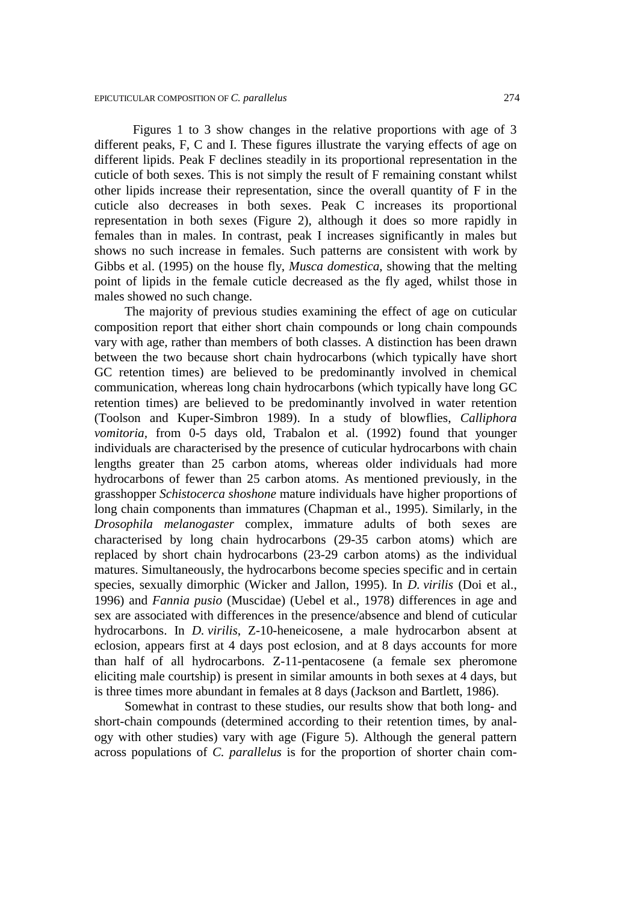Figures 1 to 3 show changes in the relative proportions with age of 3 different peaks, F, C and I. These figures illustrate the varying effects of age on different lipids. Peak F declines steadily in its proportional representation in the cuticle of both sexes. This is not simply the result of F remaining constant whilst other lipids increase their representation, since the overall quantity of F in the cuticle also decreases in both sexes. Peak C increases its proportional representation in both sexes (Figure 2), although it does so more rapidly in females than in males. In contrast, peak I increases significantly in males but shows no such increase in females. Such patterns are consistent with work by Gibbs et al. (1995) on the house fly, *Musca domestica*, showing that the melting point of lipids in the female cuticle decreased as the fly aged, whilst those in males showed no such change.

The majority of previous studies examining the effect of age on cuticular composition report that either short chain compounds or long chain compounds vary with age, rather than members of both classes. A distinction has been drawn between the two because short chain hydrocarbons (which typically have short GC retention times) are believed to be predominantly involved in chemical communication, whereas long chain hydrocarbons (which typically have long GC retention times) are believed to be predominantly involved in water retention (Toolson and Kuper-Simbron 1989). In a study of blowflies, *Calliphora vomitoria,* from 0-5 days old, Trabalon et al. (1992) found that younger individuals are characterised by the presence of cuticular hydrocarbons with chain lengths greater than 25 carbon atoms, whereas older individuals had more hydrocarbons of fewer than 25 carbon atoms. As mentioned previously, in the grasshopper *Schistocerca shoshone* mature individuals have higher proportions of long chain components than immatures (Chapman et al., 1995). Similarly, in the *Drosophila melanogaster* complex, immature adults of both sexes are characterised by long chain hydrocarbons (29-35 carbon atoms) which are replaced by short chain hydrocarbons (23-29 carbon atoms) as the individual matures. Simultaneously, the hydrocarbons become species specific and in certain species, sexually dimorphic (Wicker and Jallon, 1995). In *D. virilis* (Doi et al., 1996) and *Fannia pusio* (Muscidae) (Uebel et al., 1978) differences in age and sex are associated with differences in the presence/absence and blend of cuticular hydrocarbons. In *D. virilis*, Z-10-heneicosene, a male hydrocarbon absent at eclosion, appears first at 4 days post eclosion, and at 8 days accounts for more than half of all hydrocarbons. Z-11-pentacosene (a female sex pheromone eliciting male courtship) is present in similar amounts in both sexes at 4 days, but is three times more abundant in females at 8 days (Jackson and Bartlett, 1986).

Somewhat in contrast to these studies, our results show that both long- and short-chain compounds (determined according to their retention times, by analogy with other studies) vary with age (Figure 5). Although the general pattern across populations of *C. parallelus* is for the proportion of shorter chain com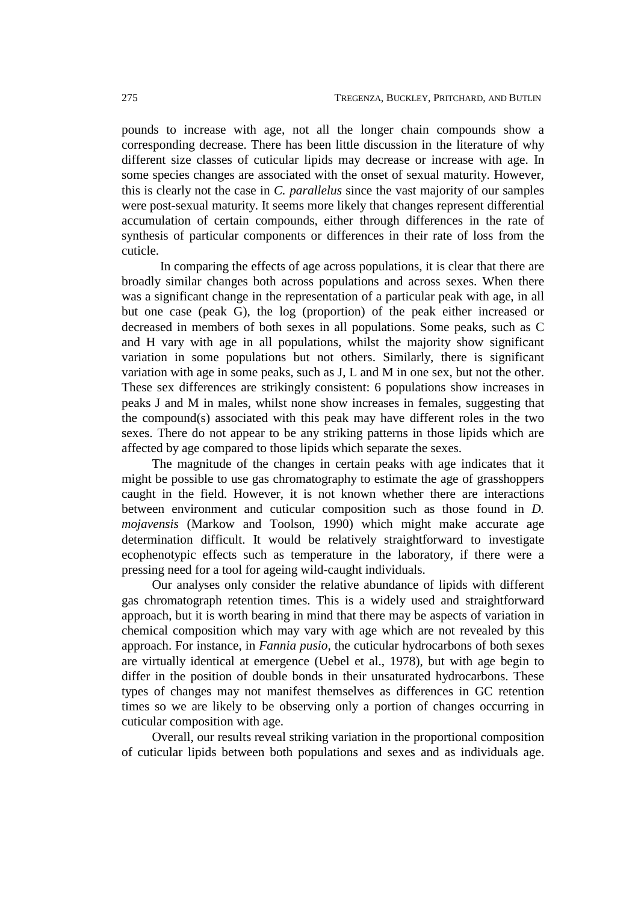pounds to increase with age, not all the longer chain compounds show a corresponding decrease. There has been little discussion in the literature of why different size classes of cuticular lipids may decrease or increase with age. In some species changes are associated with the onset of sexual maturity. However, this is clearly not the case in *C. parallelus* since the vast majority of our samples were post-sexual maturity. It seems more likely that changes represent differential accumulation of certain compounds, either through differences in the rate of synthesis of particular components or differences in their rate of loss from the cuticle.

In comparing the effects of age across populations, it is clear that there are broadly similar changes both across populations and across sexes. When there was a significant change in the representation of a particular peak with age, in all but one case (peak G), the log (proportion) of the peak either increased or decreased in members of both sexes in all populations. Some peaks, such as C and H vary with age in all populations, whilst the majority show significant variation in some populations but not others. Similarly, there is significant variation with age in some peaks, such as J, L and M in one sex, but not the other. These sex differences are strikingly consistent: 6 populations show increases in peaks J and M in males, whilst none show increases in females, suggesting that the compound(s) associated with this peak may have different roles in the two sexes. There do not appear to be any striking patterns in those lipids which are affected by age compared to those lipids which separate the sexes.

The magnitude of the changes in certain peaks with age indicates that it might be possible to use gas chromatography to estimate the age of grasshoppers caught in the field. However, it is not known whether there are interactions between environment and cuticular composition such as those found in *D. mojavensis* (Markow and Toolson, 1990) which might make accurate age determination difficult. It would be relatively straightforward to investigate ecophenotypic effects such as temperature in the laboratory, if there were a pressing need for a tool for ageing wild-caught individuals.

Our analyses only consider the relative abundance of lipids with different gas chromatograph retention times. This is a widely used and straightforward approach, but it is worth bearing in mind that there may be aspects of variation in chemical composition which may vary with age which are not revealed by this approach. For instance, in *Fannia pusio,* the cuticular hydrocarbons of both sexes are virtually identical at emergence (Uebel et al., 1978), but with age begin to differ in the position of double bonds in their unsaturated hydrocarbons. These types of changes may not manifest themselves as differences in GC retention times so we are likely to be observing only a portion of changes occurring in cuticular composition with age.

Overall, our results reveal striking variation in the proportional composition of cuticular lipids between both populations and sexes and as individuals age.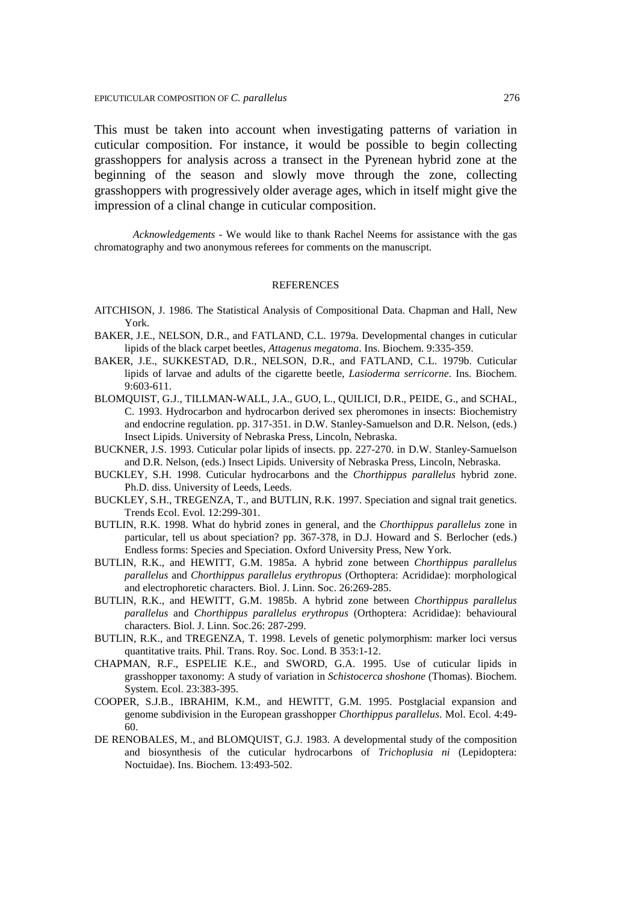This must be taken into account when investigating patterns of variation in cuticular composition. For instance, it would be possible to begin collecting grasshoppers for analysis across a transect in the Pyrenean hybrid zone at the beginning of the season and slowly move through the zone, collecting grasshoppers with progressively older average ages, which in itself might give the impression of a clinal change in cuticular composition.

*Acknowledgements* - We would like to thank Rachel Neems for assistance with the gas chromatography and two anonymous referees for comments on the manuscript.

#### REFERENCES

- AITCHISON, J. 1986. The Statistical Analysis of Compositional Data. Chapman and Hall, New York.
- BAKER, J.E., NELSON, D.R., and FATLAND, C.L. 1979a. Developmental changes in cuticular lipids of the black carpet beetles, *Attagenus megatoma*. Ins. Biochem. 9:335-359.
- BAKER, J.E., SUKKESTAD, D.R., NELSON, D.R., and FATLAND, C.L. 1979b. Cuticular lipids of larvae and adults of the cigarette beetle, *Lasioderma serricorne*. Ins. Biochem.  $9.603 - 611$
- BLOMQUIST, G.J., TILLMAN-WALL, J.A., GUO, L., QUILICI, D.R., PEIDE, G., and SCHAL, C. 1993. Hydrocarbon and hydrocarbon derived sex pheromones in insects: Biochemistry and endocrine regulation. pp. 317-351. in D.W. Stanley-Samuelson and D.R. Nelson, (eds.) Insect Lipids. University of Nebraska Press, Lincoln, Nebraska.
- BUCKNER, J.S. 1993. Cuticular polar lipids of insects. pp. 227-270. in D.W. Stanley-Samuelson and D.R. Nelson, (eds.) Insect Lipids. University of Nebraska Press, Lincoln, Nebraska.
- BUCKLEY, S.H. 1998. Cuticular hydrocarbons and the *Chorthippus parallelus* hybrid zone. Ph.D. diss. University of Leeds, Leeds.
- BUCKLEY, S.H., TREGENZA, T., and BUTLIN, R.K. 1997. Speciation and signal trait genetics. Trends Ecol. Evol. 12:299-301.
- BUTLIN, R.K. 1998. What do hybrid zones in general, and the *Chorthippus parallelus* zone in particular, tell us about speciation? pp. 367-378, in D.J. Howard and S. Berlocher (eds.) Endless forms: Species and Speciation. Oxford University Press, New York.
- BUTLIN, R.K., and HEWITT, G.M. 1985a. A hybrid zone between *Chorthippus parallelus parallelus* and *Chorthippus parallelus erythropus* (Orthoptera: Acrididae): morphological and electrophoretic characters. Biol. J. Linn. Soc. 26:269-285.
- BUTLIN, R.K., and HEWITT, G.M. 1985b. A hybrid zone between *Chorthippus parallelus parallelus* and *Chorthippus parallelus erythropus* (Orthoptera: Acrididae): behavioural characters. Biol. J. Linn. Soc.26: 287-299.
- BUTLIN, R.K., and TREGENZA, T. 1998. Levels of genetic polymorphism: marker loci versus quantitative traits. Phil. Trans. Roy. Soc. Lond. B 353:1-12.
- CHAPMAN, R.F., ESPELIE K.E., and SWORD, G.A. 1995. Use of cuticular lipids in grasshopper taxonomy: A study of variation in *Schistocerca shoshone* (Thomas). Biochem. System. Ecol. 23:383-395.
- COOPER, S.J.B., IBRAHIM, K.M., and HEWITT, G.M. 1995. Postglacial expansion and genome subdivision in the European grasshopper *Chorthippus parallelus*. Mol. Ecol. 4:49- 60.
- DE RENOBALES, M., and BLOMQUIST, G.J. 1983. A developmental study of the composition and biosynthesis of the cuticular hydrocarbons of *Trichoplusia ni* (Lepidoptera: Noctuidae). Ins. Biochem. 13:493-502.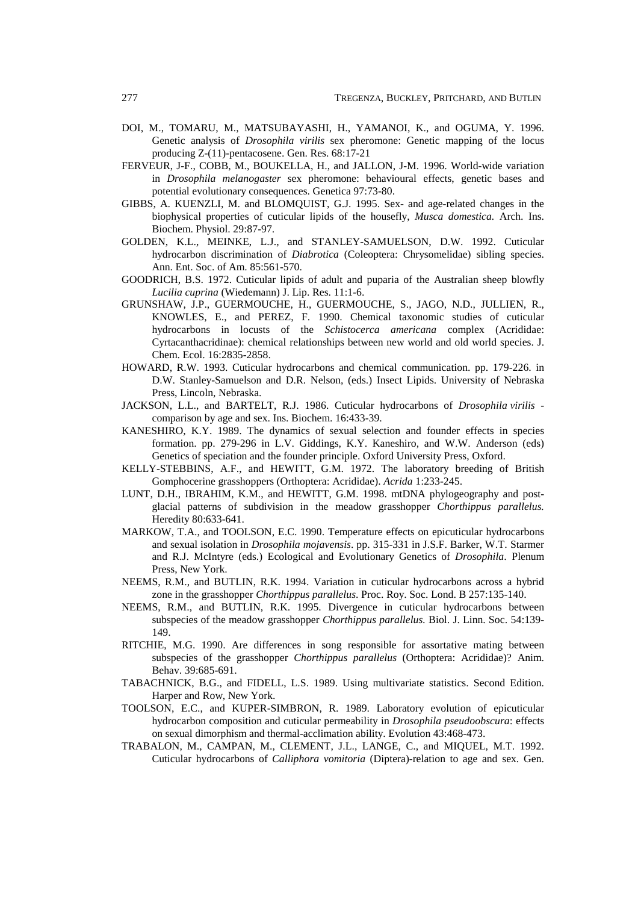- DOI, M., TOMARU, M., MATSUBAYASHI, H., YAMANOI, K., and OGUMA, Y. 1996. Genetic analysis of *Drosophila virilis* sex pheromone: Genetic mapping of the locus producing Z-(11)-pentacosene. Gen. Res. 68:17-21
- FERVEUR, J-F., COBB, M., BOUKELLA, H., and JALLON, J-M. 1996. World-wide variation in *Drosophila melanogaster* sex pheromone: behavioural effects, genetic bases and potential evolutionary consequences. Genetica 97:73-80.
- GIBBS, A. KUENZLI, M. and BLOMQUIST, G.J. 1995. Sex- and age-related changes in the biophysical properties of cuticular lipids of the housefly, *Musca domestica.* Arch. Ins. Biochem. Physiol. 29:87-97.
- GOLDEN, K.L., MEINKE, L.J., and STANLEY-SAMUELSON, D.W. 1992. Cuticular hydrocarbon discrimination of *Diabrotica* (Coleoptera: Chrysomelidae) sibling species. Ann. Ent. Soc. of Am. 85:561-570.
- GOODRICH, B.S. 1972. Cuticular lipids of adult and puparia of the Australian sheep blowfly *Lucilia cuprina* (Wiedemann) J. Lip. Res. 11:1-6.
- GRUNSHAW, J.P., GUERMOUCHE, H., GUERMOUCHE, S., JAGO, N.D., JULLIEN, R., KNOWLES, E., and PEREZ, F. 1990. Chemical taxonomic studies of cuticular hydrocarbons in locusts of the *Schistocerca americana* complex (Acrididae: Cyrtacanthacridinae): chemical relationships between new world and old world species. J. Chem. Ecol. 16:2835-2858.
- HOWARD, R.W. 1993. Cuticular hydrocarbons and chemical communication. pp. 179-226. in D.W. Stanley-Samuelson and D.R. Nelson, (eds.) Insect Lipids. University of Nebraska Press, Lincoln, Nebraska.
- JACKSON, L.L., and BARTELT, R.J. 1986. Cuticular hydrocarbons of *Drosophila virilis* comparison by age and sex. Ins. Biochem. 16:433-39.
- KANESHIRO, K.Y. 1989. The dynamics of sexual selection and founder effects in species formation. pp. 279-296 in L.V. Giddings, K.Y. Kaneshiro, and W.W. Anderson (eds) Genetics of speciation and the founder principle. Oxford University Press, Oxford.
- KELLY-STEBBINS, A.F., and HEWITT, G.M. 1972. The laboratory breeding of British Gomphocerine grasshoppers (Orthoptera: Acrididae). *Acrida* 1:233-245.
- LUNT, D.H., IBRAHIM, K.M., and HEWITT, G.M. 1998. mtDNA phylogeography and postglacial patterns of subdivision in the meadow grasshopper *Chorthippus parallelus.* Heredity 80:633-641.
- MARKOW, T.A., and TOOLSON, E.C. 1990. Temperature effects on epicuticular hydrocarbons and sexual isolation in *Drosophila mojavensis*. pp. 315-331 in J.S.F. Barker, W.T. Starmer and R.J. McIntyre (eds.) Ecological and Evolutionary Genetics of *Drosophila*. Plenum Press, New York.
- NEEMS, R.M., and BUTLIN, R.K. 1994. Variation in cuticular hydrocarbons across a hybrid zone in the grasshopper *Chorthippus parallelus*. Proc. Roy. Soc. Lond. B 257:135-140.
- NEEMS, R.M., and BUTLIN, R.K. 1995. Divergence in cuticular hydrocarbons between subspecies of the meadow grasshopper *Chorthippus parallelus.* Biol. J. Linn. Soc. 54:139- 149.
- RITCHIE, M.G. 1990. Are differences in song responsible for assortative mating between subspecies of the grasshopper *Chorthippus parallelus* (Orthoptera: Acrididae)? Anim. Behav. 39:685-691.
- TABACHNICK, B.G., and FIDELL, L.S. 1989. Using multivariate statistics. Second Edition. Harper and Row, New York.
- TOOLSON, E.C., and KUPER-SIMBRON, R. 1989. Laboratory evolution of epicuticular hydrocarbon composition and cuticular permeability in *Drosophila pseudoobscura*: effects on sexual dimorphism and thermal-acclimation ability. Evolution 43:468-473.
- TRABALON, M., CAMPAN, M., CLEMENT, J.L., LANGE, C., and MIQUEL, M.T. 1992. Cuticular hydrocarbons of *Calliphora vomitoria* (Diptera)-relation to age and sex. Gen.